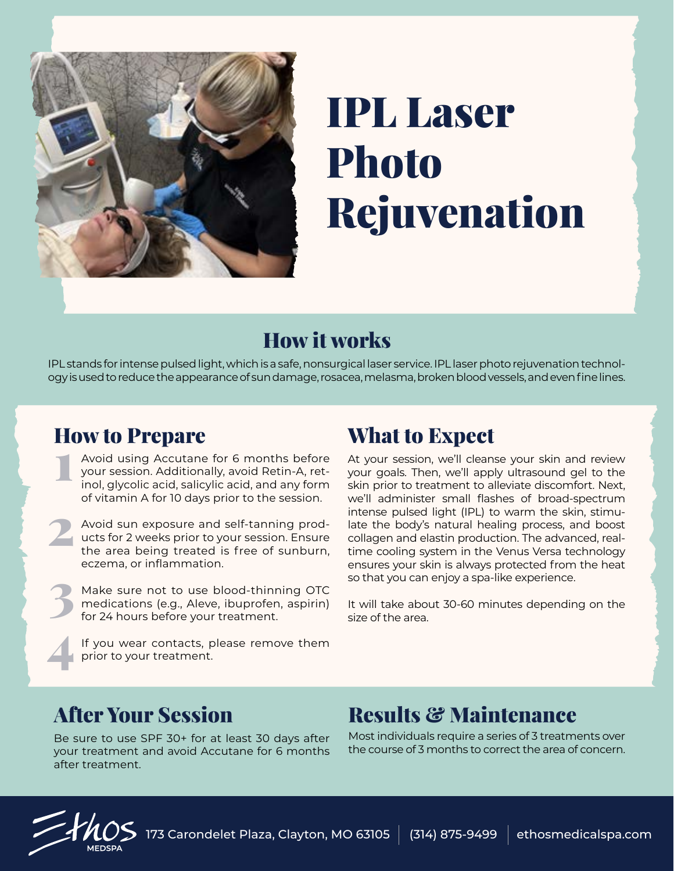

## IPL Laser Photo Rejuvenation

## How it works

IPL stands for intense pulsed light, which is a safe, nonsurgical laser service. IPL laser photo rejuvenation technology is used to reduce the appearance of sun damage, rosacea, melasma, broken blood vessels, and even fine lines.

### How to Prepare

- Avoid using Accutane for 6 months before your session. Additionally, avoid Retin-A, retinol, glycolic acid, salicylic acid, and any form of vitamin A for 10 days prior to the session.  $\ddot{1}$
- Avoid sun exposure and self-tanning products for 2 weeks prior to your session. Ensure the area being treated is free of sunburn, eczema, or inflammation. 2
- Make sure not to use blood-thinning OTC medications (e.g., Aleve, ibuprofen, aspirin) for 24 hours before your treatment. 3 4
	- If you wear contacts, please remove them prior to your treatment.

## What to Expect

At your session, we'll cleanse your skin and review your goals. Then, we'll apply ultrasound gel to the skin prior to treatment to alleviate discomfort. Next, we'll administer small flashes of broad-spectrum intense pulsed light (IPL) to warm the skin, stimulate the body's natural healing process, and boost collagen and elastin production. The advanced, realtime cooling system in the Venus Versa technology ensures your skin is always protected from the heat so that you can enjoy a spa-like experience.

It will take about 30-60 minutes depending on the size of the area.

Be sure to use SPF 30+ for at least 30 days after your treatment and avoid Accutane for 6 months after treatment.

## After Your Session Results & Maintenance

Most individuals require a series of 3 treatments over the course of 3 months to correct the area of concern.



173 Carondelet Plaza, Clayton, MO 63105  $\parallel$  (314) 875-9499  $\parallel$  ethosmedicalspa.com